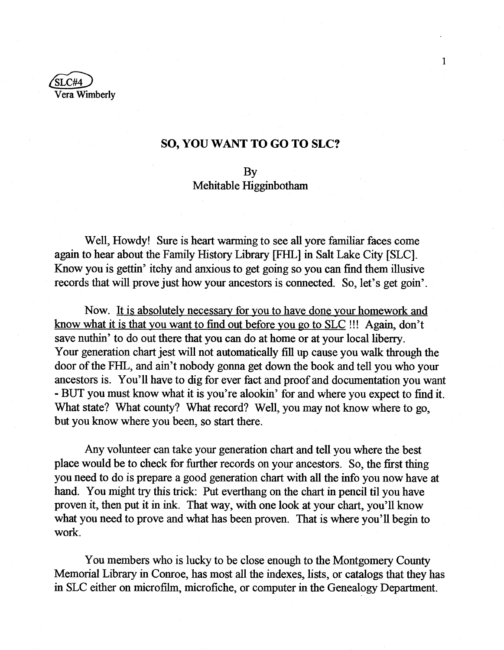

## **SO, YOU WANT TO GO TO SLC?**

## By

## Mehitable Higginbotham

Well, Howdy! Sure is heart warming to see all yore familiar faces come again to hear about the Family History Library [FELL] in Salt Lake City [SLC]. Know you is gettin' itchy and anxious to get going so you can find them illusive records that will prove just how your ancestors is connected. So, let's get goin'.

Now. It is absolutely necessary for you to have done your homework and know what it is that you want to find out before you go to SLC !!! Again, don't save nuthin' to do out there that you can do at home or at your local liberry. Your generation chart jest will not automatically fill up cause you walk through the door of the FHL, and ain't nobody gonna get down the book and tell you who your ancestors is. You'll have to dig for ever fact and proof and documentation you want - BUT you must know what it is you're alookin' for and where you expect to find it. What state? What county? What record? Well, you may not know where to go, but you know where you been, so start there.

Any volunteer can take your generation chart and tell you where the best place would be to check for further records on your ancestors. So, the first thing you need to do is prepare a good generation chart with all the info you now have at hand. You might try this trick: Put everthang on the chart in pencil til you have proven it, then put it in ink. That way, with one look at your chart, you'll know what you need to prove and what has been proven. That is where you'll begin to work.

You members who is lucky to be close enough to the Montgomery County Memorial Library in Conroe, has most all the indexes, lists, or catalogs that they has in SLC either on microfilm, microfiche, or computer in the Genealogy Department.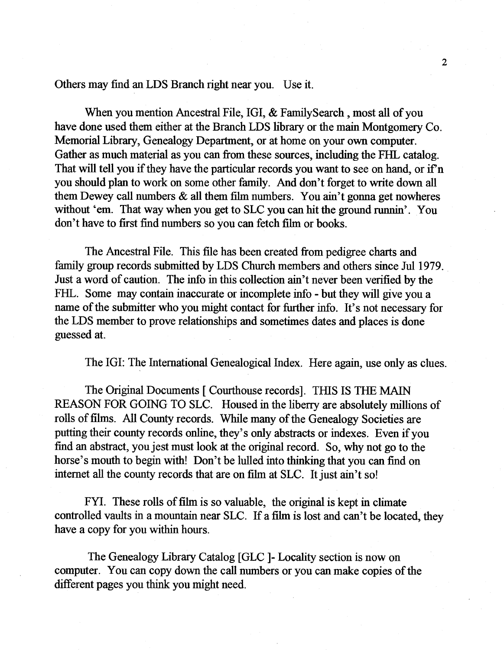Others may find an LDS Branch right near you. Use it.

When you mention Ancestral File, IGI, & FamilySearch , most all of you have done used them either at the Branch LDS library or the main Montgomery Co. Memorial Library, Genealogy Department, or at home on your own computer. Gather as much material as you can from these sources, including the FHL catalog. That will tell you if they have the particular records you want to see on hand, or if n you should plan to work on some other family. And don't forget to write down all them Dewey call numbers  $\&$  all them film numbers. You ain't gonna get nowheres without 'em. That way when you get to SLC you can hit the ground runnin'. You don't have to first find numbers so you can fetch film or books.

The Ancestral File. This file has been created from pedigree charts and family group records submitted by LDS Church members and others since Jul 1979. Just a word of caution. The info in this collection ain't never been verified by the FHL. Some may contain inaccurate or incomplete info - but they will give you a name of the submitter who you might contact for further info. It's not necessary for the LDS member to prove relationships and sometimes dates and places is done guessed at.

The IGI: The International Genealogical Index. Here again, use only as clues.

The Original Documents [ Courthouse records]. THIS IS THE MAIN REASON FOR GOING TO SLC. Housed in the liberry are absolutely millions of rolls of films. All County records. While many of the Genealogy Societies are putting their county records online, they's only abstracts or indexes. Even if you find an abstract, you jest must look at the original record. So, why not go to the horse's mouth to begin with! Don't be lulled into thinking that you can find on internet all the county records that are on film at SLC. It just ain't so!

FYI. These rolls of film is so valuable, the original is kept in climate controlled vaults in a mountain near SLC. If a film is lost and can't be located, they have a copy for you within hours.

The Genealogy Library Catalog [GLC ]- Locality section is now on computer. You can copy down the call numbers or you can make copies of the different pages you think you might need.